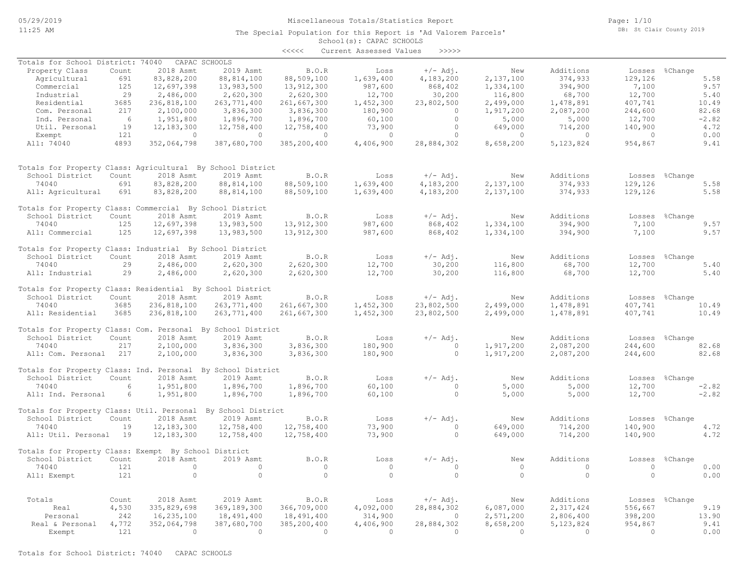### Miscellaneous Totals/Statistics Report

The Special Population for this Report is 'Ad Valorem Parcels'

Page: 1/10 DB: St Clair County 2019

# School(s): CAPAC SCHOOLS

|                                                              |       |                |               | $\prec\prec\prec\prec\prec$ | Current Assessed Values | >>>>>      |              |                |          |                |
|--------------------------------------------------------------|-------|----------------|---------------|-----------------------------|-------------------------|------------|--------------|----------------|----------|----------------|
| Totals for School District: 74040                            |       |                | CAPAC SCHOOLS |                             |                         |            |              |                |          |                |
| Property Class                                               | Count | 2018 Asmt      | 2019 Asmt     | $B.0.R$                     | Loss                    | $+/-$ Adj. | New          | Additions      |          | Losses %Change |
| Agricultural                                                 | 691   | 83,828,200     | 88, 814, 100  | 88,509,100                  | 1,639,400               | 4,183,200  | 2,137,100    | 374,933        | 129,126  | 5.58           |
| Commercial                                                   | 125   | 12,697,398     | 13,983,500    | 13, 912, 300                | 987,600                 | 868,402    | 1,334,100    | 394,900        | 7,100    | 9.57           |
| Industrial                                                   | 29    | 2,486,000      | 2,620,300     | 2,620,300                   | 12,700                  | 30,200     | 116,800      | 68,700         | 12,700   | 5.40           |
| Residential                                                  | 3685  | 236,818,100    | 263, 771, 400 | 261,667,300                 | 1,452,300               | 23,802,500 | 2,499,000    | 1,478,891      | 407,741  | 10.49          |
| Com. Personal                                                | 217   | 2,100,000      | 3,836,300     | 3,836,300                   | 180,900                 | $\Omega$   | 1,917,200    | 2,087,200      | 244,600  | 82.68          |
| Ind. Personal                                                | 6     | 1,951,800      | 1,896,700     | 1,896,700                   | 60,100                  | $\Omega$   | 5,000        | 5,000          | 12,700   | $-2.82$        |
| Util. Personal                                               | 19    |                | 12,758,400    |                             | 73,900                  | $\Omega$   |              | 714,200        | 140,900  | 4.72           |
|                                                              |       | 12, 183, 300   |               | 12,758,400                  |                         |            | 649,000      |                |          |                |
| Exempt                                                       | 121   | $\overline{0}$ | $\circ$       | $\circ$                     | $\circ$                 | $\circ$    | $\mathbf{0}$ | $\overline{0}$ | $\circ$  | 0.00           |
| All: 74040                                                   | 4893  | 352,064,798    | 387,680,700   | 385,200,400                 | 4,406,900               | 28,884,302 | 8,658,200    | 5,123,824      | 954,867  | 9.41           |
| Totals for Property Class: Agricultural By School District   |       |                |               |                             |                         |            |              |                |          |                |
| School District                                              | Count | 2018 Asmt      | 2019 Asmt     | B.O.R                       | Loss                    | $+/-$ Adj. | New          | Additions      | Losses   | %Change        |
| 74040                                                        | 691   | 83,828,200     | 88, 814, 100  | 88,509,100                  | 1,639,400               | 4,183,200  | 2,137,100    | 374,933        | 129,126  | 5.58           |
| All: Agricultural                                            | 691   | 83,828,200     | 88, 814, 100  | 88,509,100                  | 1,639,400               | 4,183,200  | 2,137,100    | 374,933        | 129,126  | 5.58           |
| Totals for Property Class: Commercial By School District     |       |                |               |                             |                         |            |              |                |          |                |
| School District                                              | Count | 2018 Asmt      | 2019 Asmt     | B.O.R                       | Loss                    | $+/-$ Adj. | New          | Additions      | Losses   | %Change        |
| 74040                                                        | 125   | 12,697,398     | 13,983,500    | 13,912,300                  | 987,600                 | 868,402    | 1,334,100    | 394,900        | 7,100    | 9.57           |
| All: Commercial                                              | 125   | 12,697,398     | 13,983,500    | 13,912,300                  | 987,600                 | 868,402    | 1,334,100    | 394,900        | 7,100    | 9.57           |
| Totals for Property Class: Industrial By School District     |       |                |               |                             |                         |            |              |                |          |                |
| School District                                              | Count | 2018 Asmt      | 2019 Asmt     | B.O.R                       | Loss                    | $+/-$ Adj. | New          | Additions      |          | Losses %Change |
| 74040                                                        | 29    | 2,486,000      | 2,620,300     | 2,620,300                   | 12,700                  | 30,200     | 116,800      | 68,700         | 12,700   | 5.40           |
| All: Industrial                                              | 29    | 2,486,000      | 2,620,300     | 2,620,300                   | 12,700                  | 30,200     | 116,800      | 68,700         | 12,700   | 5.40           |
| Totals for Property Class: Residential By School District    |       |                |               |                             |                         |            |              |                |          |                |
| School District                                              | Count | 2018 Asmt      | 2019 Asmt     | B.O.R                       | Loss                    | $+/-$ Adj. | New          | Additions      | Losses   | %Change        |
| 74040                                                        | 3685  | 236,818,100    | 263, 771, 400 | 261,667,300                 | 1,452,300               | 23,802,500 | 2,499,000    | 1,478,891      | 407,741  | 10.49          |
| All: Residential                                             | 3685  | 236,818,100    | 263,771,400   | 261,667,300                 | 1,452,300               | 23,802,500 | 2,499,000    | 1,478,891      | 407,741  | 10.49          |
|                                                              |       |                |               |                             |                         |            |              |                |          |                |
| Totals for Property Class: Com. Personal By School District  |       |                |               |                             |                         |            |              |                |          |                |
| School District                                              | Count | 2018 Asmt      | 2019 Asmt     | B.O.R                       | Loss                    | $+/-$ Adj. | New          | Additions      | Losses   | %Change        |
| 74040                                                        | 217   | 2,100,000      | 3,836,300     | 3,836,300                   | 180,900                 | $\circ$    | 1,917,200    | 2,087,200      | 244,600  | 82.68          |
| All: Com. Personal                                           | 217   | 2,100,000      | 3,836,300     | 3,836,300                   | 180,900                 | $\Omega$   | 1,917,200    | 2,087,200      | 244,600  | 82.68          |
| Totals for Property Class: Ind. Personal By School District  |       |                |               |                             |                         |            |              |                |          |                |
| School District                                              | Count | 2018 Asmt      | 2019 Asmt     | B.O.R                       | Loss                    | $+/-$ Adj. | New          | Additions      |          | Losses %Change |
| 74040                                                        | 6     | 1,951,800      | 1,896,700     | 1,896,700                   | 60,100                  | $\Omega$   | 5,000        | 5,000          | 12,700   | $-2.82$        |
| All: Ind. Personal                                           | 6     | 1,951,800      | 1,896,700     | 1,896,700                   | 60,100                  | $\circ$    | 5,000        | 5,000          | 12,700   | $-2.82$        |
| Totals for Property Class: Util. Personal By School District |       |                |               |                             |                         |            |              |                |          |                |
| School District                                              | Count | 2018 Asmt      | 2019 Asmt     | B.O.R                       | Loss                    | $+/-$ Adj. | New          | Additions      | Losses   | %Change        |
| 74040                                                        | 19    | 12, 183, 300   | 12,758,400    | 12,758,400                  | 73,900                  | $\Omega$   | 649,000      | 714,200        | 140,900  | 4.72           |
| All: Util. Personal 19                                       |       | 12, 183, 300   | 12,758,400    | 12,758,400                  | 73,900                  | $\circ$    | 649,000      | 714,200        | 140,900  | 4.72           |
| Totals for Property Class: Exempt By School District         |       |                |               |                             |                         |            |              |                |          |                |
| School District                                              | Count | 2018 Asmt      | 2019 Asmt     | B.O.R                       | Loss                    | $+/-$ Adj. | New          | Additions      | Losses   | %Change        |
| 74040                                                        | 121   | $\circ$        | $\circ$       | $\circ$                     | $\circ$                 | $\circ$    | $\circ$      | $\circ$        | $\circ$  | 0.00           |
| All: Exempt                                                  | 121   | $\circ$        | $\circ$       | $\circ$                     | $\circ$                 | $\circ$    | $\circ$      | $\circ$        | $\circ$  | 0.00           |
|                                                              |       |                |               |                             |                         |            |              |                |          |                |
| Totals                                                       | Count | 2018 Asmt      | 2019 Asmt     | B.O.R                       | Loss                    | $+/-$ Adj. | New          | Additions      |          | Losses %Change |
| Real                                                         | 4,530 | 335,829,698    | 369,189,300   | 366,709,000                 | 4,092,000               | 28,884,302 | 6,087,000    | 2,317,424      | 556,667  | 9.19           |
| Personal                                                     | 242   | 16,235,100     | 18,491,400    | 18,491,400                  | 314,900                 | $\circ$    | 2,571,200    | 2,806,400      | 398,200  | 13.90          |
| Real & Personal                                              | 4,772 | 352,064,798    | 387,680,700   | 385,200,400                 | 4,406,900               | 28,884,302 | 8,658,200    | 5, 123, 824    | 954,867  | 9.41           |
| Exempt                                                       | 121   | $\Omega$       | $\Omega$      | $\Omega$                    | $\Omega$                | $\Omega$   | $\Omega$     | $\Omega$       | $\Omega$ | 0.00           |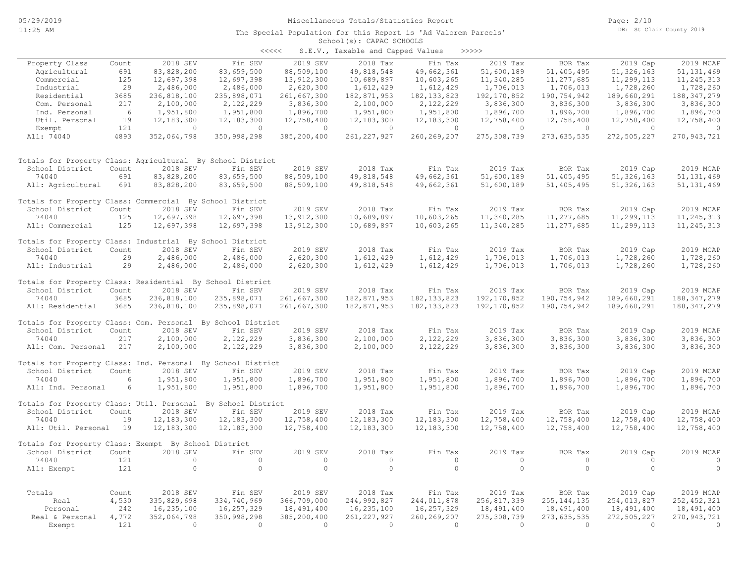#### School(s): CAPAC SCHOOLS The Special Population for this Report is 'Ad Valorem Parcels'

| くくくくく | S.E.V., Taxable and Capped Values |  |  |  | >>>>> |
|-------|-----------------------------------|--|--|--|-------|
|-------|-----------------------------------|--|--|--|-------|

| Property Class                                               | Count     | 2018 SEV                | Fin SEV                        | 2019 SEV              | 2018 Tax                       | Fin Tax                 | 2019 Tax              | BOR Tax                      | 2019 Cap              | 2019 MCAP                    |
|--------------------------------------------------------------|-----------|-------------------------|--------------------------------|-----------------------|--------------------------------|-------------------------|-----------------------|------------------------------|-----------------------|------------------------------|
| Agricultural                                                 | 691       | 83,828,200              | 83,659,500                     | 88,509,100            | 49,818,548                     | 49,662,361              | 51,600,189            | 51,405,495                   | 51, 326, 163          | 51, 131, 469                 |
| Commercial                                                   | 125       | 12,697,398              | 12,697,398                     | 13,912,300            | 10,689,897                     | 10,603,265              | 11,340,285            | 11,277,685                   | 11,299,113            | 11,245,313                   |
| Industrial                                                   | 29        | 2,486,000               | 2,486,000                      | 2,620,300             | 1,612,429                      | 1,612,429               | 1,706,013             | 1,706,013                    | 1,728,260             | 1,728,260                    |
| Residential                                                  | 3685      | 236,818,100             | 235,898,071                    | 261,667,300           | 182,871,953                    | 182, 133, 823           | 192, 170, 852         | 190,754,942                  | 189,660,291           | 188, 347, 279                |
| Com. Personal                                                | 217       | 2,100,000               | 2,122,229                      | 3,836,300             | 2,100,000                      | 2,122,229               | 3,836,300             | 3,836,300                    | 3,836,300             | 3,836,300                    |
| Ind. Personal                                                | 6         | 1,951,800               | 1,951,800                      | 1,896,700             | 1,951,800                      | 1,951,800               | 1,896,700             | 1,896,700                    | 1,896,700             | 1,896,700                    |
| Util. Personal                                               | 19<br>121 | 12, 183, 300<br>$\circ$ | 12, 183, 300<br>$\overline{0}$ | 12,758,400<br>$\circ$ | 12, 183, 300<br>$\overline{0}$ | 12, 183, 300<br>$\circ$ | 12,758,400<br>$\circ$ | 12,758,400<br>$\overline{0}$ | 12,758,400<br>$\circ$ | 12,758,400<br>$\overline{0}$ |
| Exempt<br>All: 74040                                         | 4893      | 352,064,798             | 350,998,298                    | 385,200,400           | 261, 227, 927                  | 260, 269, 207           | 275, 308, 739         | 273,635,535                  | 272,505,227           | 270, 943, 721                |
|                                                              |           |                         |                                |                       |                                |                         |                       |                              |                       |                              |
| Totals for Property Class: Agricultural By School District   |           |                         |                                |                       |                                |                         |                       |                              |                       |                              |
| School District                                              | Count     | 2018 SEV                | Fin SEV                        | 2019 SEV              | 2018 Tax                       | Fin Tax                 | 2019 Tax              | BOR Tax                      | 2019 Cap              | 2019 MCAP                    |
| 74040                                                        | 691       | 83,828,200              | 83,659,500                     | 88,509,100            | 49,818,548                     | 49,662,361              | 51,600,189            | 51,405,495                   | 51, 326, 163          | 51, 131, 469                 |
| All: Agricultural                                            | 691       | 83,828,200              | 83,659,500                     | 88,509,100            | 49,818,548                     | 49,662,361              | 51,600,189            | 51,405,495                   | 51, 326, 163          | 51, 131, 469                 |
| Totals for Property Class: Commercial By School District     |           |                         |                                |                       |                                |                         |                       |                              |                       |                              |
| School District                                              | Count     | 2018 SEV                | Fin SEV                        | 2019 SEV              | 2018 Tax                       | Fin Tax                 | 2019 Tax              | BOR Tax                      | 2019 Cap              | 2019 MCAP                    |
| 74040                                                        | 125       | 12,697,398              | 12,697,398                     | 13,912,300            | 10,689,897                     | 10,603,265              | 11,340,285            | 11,277,685                   | 11,299,113            | 11, 245, 313                 |
| All: Commercial                                              | 125       | 12,697,398              | 12,697,398                     | 13,912,300            | 10,689,897                     | 10,603,265              | 11,340,285            | 11,277,685                   | 11,299,113            | 11, 245, 313                 |
| Totals for Property Class: Industrial By School District     |           |                         |                                |                       |                                |                         |                       |                              |                       |                              |
| School District                                              | Count     | 2018 SEV                | Fin SEV                        | 2019 SEV              | 2018 Tax                       | Fin Tax                 | 2019 Tax              | BOR Tax                      | 2019 Cap              | 2019 MCAP                    |
| 74040                                                        | 29        | 2,486,000               | 2,486,000                      | 2,620,300             | 1,612,429                      | 1,612,429               | 1,706,013             | 1,706,013                    | 1,728,260             | 1,728,260                    |
| All: Industrial                                              | 29        | 2,486,000               | 2,486,000                      | 2,620,300             | 1,612,429                      | 1,612,429               | 1,706,013             | 1,706,013                    | 1,728,260             | 1,728,260                    |
| Totals for Property Class: Residential By School District    |           |                         |                                |                       |                                |                         |                       |                              |                       |                              |
| School District                                              | Count     | 2018 SEV                | Fin SEV                        | 2019 SEV              | 2018 Tax                       | Fin Tax                 | 2019 Tax              | BOR Tax                      | 2019 Cap              | 2019 MCAP                    |
| 74040                                                        | 3685      | 236,818,100             | 235,898,071                    | 261,667,300           | 182,871,953                    | 182, 133, 823           | 192, 170, 852         | 190,754,942                  | 189,660,291           | 188, 347, 279                |
| All: Residential                                             | 3685      | 236,818,100             | 235,898,071                    | 261,667,300           | 182,871,953                    | 182, 133, 823           | 192, 170, 852         | 190,754,942                  | 189,660,291           | 188, 347, 279                |
| Totals for Property Class: Com. Personal By School District  |           |                         |                                |                       |                                |                         |                       |                              |                       |                              |
| School District                                              | Count     | 2018 SEV                | Fin SEV                        | 2019 SEV              | 2018 Tax                       | Fin Tax                 | 2019 Tax              | BOR Tax                      | 2019 Cap              | 2019 MCAP                    |
| 74040                                                        | 217       | 2,100,000               | 2,122,229                      | 3,836,300             | 2,100,000                      | 2,122,229               | 3,836,300             | 3,836,300                    | 3,836,300             | 3,836,300                    |
| All: Com. Personal                                           | 217       | 2,100,000               | 2,122,229                      | 3,836,300             | 2,100,000                      | 2,122,229               | 3,836,300             | 3,836,300                    | 3,836,300             | 3,836,300                    |
| Totals for Property Class: Ind. Personal By School District  |           |                         |                                |                       |                                |                         |                       |                              |                       |                              |
| School District                                              | Count     | 2018 SEV                | Fin SEV                        | 2019 SEV              | 2018 Tax                       | Fin Tax                 | 2019 Tax              | BOR Tax                      | 2019 Cap              | 2019 MCAP                    |
| 74040                                                        | 6         | 1,951,800               | 1,951,800                      | 1,896,700             | 1,951,800                      | 1,951,800               | 1,896,700             | 1,896,700                    | 1,896,700             | 1,896,700                    |
| All: Ind. Personal                                           | 6         | 1,951,800               | 1,951,800                      | 1,896,700             | 1,951,800                      | 1,951,800               | 1,896,700             | 1,896,700                    | 1,896,700             | 1,896,700                    |
| Totals for Property Class: Util. Personal By School District |           |                         |                                |                       |                                |                         |                       |                              |                       |                              |
| School District                                              | Count     | 2018 SEV                | Fin SEV                        | 2019 SEV              | 2018 Tax                       | Fin Tax                 | 2019 Tax              | BOR Tax                      | 2019 Cap              | 2019 MCAP                    |
| 74040                                                        | 19        | 12, 183, 300            | 12,183,300                     | 12,758,400            | 12,183,300                     | 12,183,300              | 12,758,400            | 12,758,400                   | 12,758,400            | 12,758,400                   |
| All: Util. Personal 19                                       |           | 12, 183, 300            | 12,183,300                     | 12,758,400            | 12,183,300                     | 12, 183, 300            | 12,758,400            | 12,758,400                   | 12,758,400            | 12,758,400                   |
| Totals for Property Class: Exempt By School District         |           |                         |                                |                       |                                |                         |                       |                              |                       |                              |
| School District                                              | Count     | 2018 SEV                | Fin SEV                        | 2019 SEV              | 2018 Tax                       | Fin Tax                 | 2019 Tax              | BOR Tax                      | 2019 Cap              | 2019 MCAP                    |
| 74040                                                        | 121       | $\circ$                 | $\circ$                        | $\circ$               | $\circ$                        | $\circ$                 | $\circ$               | $\circ$                      | $\circ$               | $\overline{0}$               |
| All: Exempt                                                  | 121       | $\circ$                 | $\circ$                        | $\circ$               | $\circ$                        | $\circ$                 | $\circ$               | $\circ$                      | $\circ$               | $\Omega$                     |
| Totals                                                       | Count     | 2018 SEV                | Fin SEV                        | 2019 SEV              | 2018 Tax                       | Fin Tax                 | 2019 Tax              | BOR Tax                      | 2019 Cap              | 2019 MCAP                    |
| Real                                                         | 4,530     | 335,829,698             | 334,740,969                    | 366,709,000           | 244,992,827                    | 244,011,878             | 256,817,339           | 255, 144, 135                | 254,013,827           | 252, 452, 321                |
| Personal                                                     | 242       | 16,235,100              | 16,257,329                     | 18,491,400            | 16,235,100                     | 16,257,329              | 18,491,400            | 18,491,400                   | 18,491,400            | 18,491,400                   |
| Real & Personal                                              | 4,772     | 352,064,798             | 350,998,298                    | 385,200,400           | 261, 227, 927                  | 260, 269, 207           | 275,308,739           | 273,635,535                  | 272,505,227           | 270, 943, 721                |
| Exempt                                                       | 121       | $\Omega$                | $\bigcirc$                     | $\overline{0}$        | $\bigcirc$                     | $\Omega$                | $\Omega$              | $\overline{0}$               | $\bigcirc$            | $\bigcirc$                   |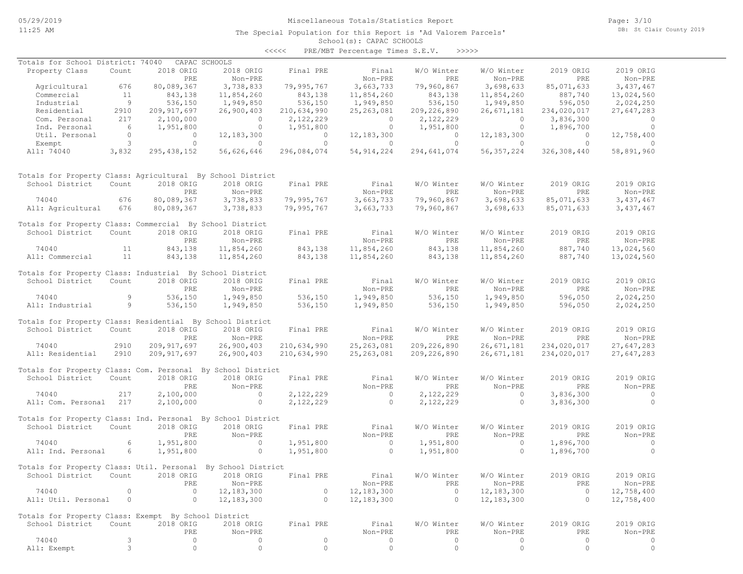## Miscellaneous Totals/Statistics Report

The Special Population for this Report is 'Ad Valorem Parcels'

Page: 3/10 DB: St Clair County 2019

#### School(s): CAPAC SCHOOLS <<<<< PRE/MBT Percentage Times S.E.V. >>>>>

| Totals for School District: 74040                            |                 |                | CAPAC SCHOOLS  |                    |                          |                |                |                       |                                      |
|--------------------------------------------------------------|-----------------|----------------|----------------|--------------------|--------------------------|----------------|----------------|-----------------------|--------------------------------------|
| Property Class                                               | Count           | 2018 ORIG      | 2018 ORIG      | Final PRE          | Final                    | W/O Winter     | W/O Winter     | 2019 ORIG             | 2019 ORIG                            |
|                                                              |                 | PRE            | Non-PRE        |                    | Non-PRE                  | PRE            | Non-PRE        | PRE                   | Non-PRE                              |
| Agricultural                                                 | 676             | 80,089,367     | 3,738,833      | 79,995,767         | 3,663,733                | 79,960,867     | 3,698,633      | 85,071,633            | 3,437,467                            |
| Commercial                                                   | 11              | 843,138        | 11,854,260     |                    | 11,854,260               | 843,138        | 11,854,260     | 887,740               | 13,024,560                           |
| Industrial                                                   | 9               | 536,150        | 1,949,850      | 843,138<br>536,150 | 1,949,850                | 536,150        | 1,949,850      | 596,050               | 2,024,250                            |
| Residential                                                  | 2910            | 209, 917, 697  |                | 210,634,990        | 25, 263, 081             |                | 26,671,181     |                       | 27,647,283                           |
|                                                              | 217             |                | 26,900,403     |                    |                          | 209, 226, 890  | $\circ$        | 234,020,017           | $\Omega$                             |
| Com. Personal                                                |                 | 2,100,000      | $\overline{0}$ | 2,122,229          | $\overline{0}$           | 2,122,229      |                | 3,836,300             |                                      |
| Ind. Personal                                                | $6\overline{6}$ | 1,951,800      | $\overline{0}$ | 1,951,800          | $\overline{0}$           | 1,951,800      | $\overline{0}$ | 1,896,700             | $\overline{0}$                       |
| Util. Personal                                               | $\overline{0}$  | $\overline{0}$ | 12,183,300     | $\overline{0}$     | 12, 183, 300             | $\overline{0}$ | 12, 183, 300   | $\overline{0}$        | 12,758,400                           |
| Exempt                                                       | 3 <sup>2</sup>  | $\circ$        | $\overline{0}$ | $\overline{0}$     | $\sim$ 0 $\sim$ 0 $\sim$ | $\overline{0}$ | $\sim$ 0       | $\overline{0}$        | $\sim$ 0                             |
| All: 74040                                                   | 3,832           | 295,438,152    | 56,626,646     | 296,084,074        | 54, 914, 224             | 294,641,074    | 56, 357, 224   | 326,308,440           | 58,891,960                           |
| Totals for Property Class: Agricultural By School District   |                 |                |                |                    |                          |                |                |                       |                                      |
| School District                                              | Count           | 2018 ORIG      | 2018 ORIG      | Final PRE          | Final                    | W/O Winter     | W/O Winter     | 2019 ORIG             | 2019 ORIG                            |
|                                                              |                 | PRE            | Non-PRE        |                    | Non-PRE                  | PRE            | Non-PRE        | PRE                   | Non-PRE                              |
| 74040                                                        | 676             | 80,089,367     | 3,738,833      | 79,995,767         | 3,663,733                | 79,960,867     | 3,698,633      | 85,071,633            | 3,437,467                            |
| All: Agricultural                                            | 676             | 80,089,367     | 3,738,833      | 79,995,767         | 3,663,733                | 79,960,867     | 3,698,633      | 85,071,633            | 3,437,467                            |
|                                                              |                 |                |                |                    |                          |                |                |                       |                                      |
| Totals for Property Class: Commercial By School District     |                 |                |                |                    |                          |                |                |                       |                                      |
| School District                                              | Count           | 2018 ORIG      | 2018 ORIG      | Final PRE          | Final                    | W/O Winter     | W/O Winter     | 2019 ORIG             | 2019 ORIG                            |
|                                                              |                 | PRE            | Non-PRE        |                    | Non-PRE                  | PRE            | Non-PRE        | PRE                   | Non-PRE                              |
| 74040                                                        | 11              | 843,138        | 11,854,260     | 843,138            | 11,854,260               | 843,138        | 11,854,260     | 887,740               | 13,024,560                           |
| All: Commercial                                              | 11              | 843,138        | 11,854,260     | 843,138            | 11,854,260               | 843,138        | 11,854,260     | 887,740               | 13,024,560                           |
|                                                              |                 |                |                |                    |                          |                |                |                       |                                      |
| Totals for Property Class: Industrial By School District     |                 |                |                |                    |                          |                |                |                       |                                      |
| School District                                              | Count           | 2018 ORIG      | 2018 ORIG      | Final PRE          | Final                    | W/O Winter     | W/O Winter     | 2019 ORIG             | 2019 ORIG                            |
|                                                              |                 | PRE            | Non-PRE        |                    | Non-PRE                  | PRE            | Non-PRE        | PRE                   | Non-PRE                              |
| 74040                                                        | 9               | 536,150        | 1,949,850      |                    | 1,949,850                | 536,150        | 1,949,850      | 596,050               | 2,024,250                            |
| All: Industrial                                              | 9 <sup>1</sup>  | 536,150        | 1,949,850      | 536,150<br>536,150 | 1,949,850                | 536,150        | 1,949,850      | 596,050               | 2,024,250                            |
|                                                              |                 |                |                |                    |                          |                |                |                       |                                      |
| Totals for Property Class: Residential By School District    |                 |                |                |                    |                          |                |                |                       |                                      |
| School District                                              | Count           | 2018 ORIG      | 2018 ORIG      | Final PRE          | Final                    | W/O Winter     | W/O Winter     | 2019 ORIG             | 2019 ORIG                            |
|                                                              |                 | PRE            | Non-PRE        |                    | Non-PRE                  | PRE            | Non-PRE        | PRE                   | $Non-PRE$                            |
| 74040                                                        | 2910            | 209, 917, 697  | 26,900,403     | 210,634,990        | 25,263,081               | 209, 226, 890  | 26,671,181     | 234,020,017           | 27,647,283                           |
| All: Residential                                             | 2910            | 209, 917, 697  | 26,900,403     | 210,634,990        | 25, 263, 081             | 209, 226, 890  | 26,671,181     | 234,020,017           | 27,647,283                           |
| Totals for Property Class: Com. Personal By School District  |                 |                |                |                    |                          |                |                |                       |                                      |
| School District                                              | Count           | 2018 ORIG      | 2018 ORIG      | Final PRE          |                          | W/O Winter     | W/O Winter     | 2019 ORIG             | 2019 ORIG                            |
|                                                              |                 |                |                |                    | Final                    |                |                |                       |                                      |
|                                                              |                 | PRE            | Non-PRE        |                    | Non-PRE                  | PRE            | Non-PRE        | PRE                   | Non-PRE                              |
| 74040                                                        | 217             | 2,100,000      | $\overline{0}$ | 2,122,229          | $\overline{0}$           | 2,122,229      | $\sim$ 0       | 3,836,300             | $\overline{0}$                       |
| All: Com. Personal 217                                       |                 | 2,100,000      | $\sim$ 0       | 2,122,229          | $\overline{0}$           | 2,122,229      | $\circ$        | 3,836,300             | $\overline{0}$                       |
| Totals for Property Class: Ind. Personal By School District  |                 |                |                |                    |                          |                |                |                       |                                      |
| School District                                              | Count           | 2018 ORIG      | 2018 ORIG      | Final PRE          | Final                    | W/O Winter     | W/O Winter     | 2019 ORIG             | 2019 ORIG                            |
|                                                              |                 | PRE            | Non-PRE        |                    | Non-PRE                  | PRE            | Non-PRE        | PRE                   | Non-PRE                              |
|                                                              | 6               |                | $\sim$ 0       |                    | $\sim$ 0                 |                | $\circ$        |                       |                                      |
| 74040                                                        |                 | 1,951,800      |                | 1,951,800          | $\sim$ 0                 | 1,951,800      |                | 1,896,700             | $\overline{\phantom{0}}$<br>$\Omega$ |
| All: Ind. Personal                                           | 6               | 1,951,800      | $\circ$        | 1,951,800          |                          | 1,951,800      | $\circ$        | 1,896,700             |                                      |
| Totals for Property Class: Util. Personal By School District |                 |                |                |                    |                          |                |                |                       |                                      |
| School District Count 2018 ORIG 2018 ORIG Final PRE          |                 |                |                |                    | Final                    | W/O Winter     | W/O Winter     | 2019 ORIG             | 2019 ORIG                            |
|                                                              |                 |                |                |                    |                          |                |                |                       |                                      |
|                                                              |                 | PRE<br>$\circ$ | Non-PRE        |                    | Non-PRE                  | PRE<br>$\circ$ | Non-PRE        | PRE<br>$\overline{0}$ | Non-PRE                              |
| 74040                                                        | 0               |                | 12, 183, 300   | 0                  | 12, 183, 300             |                | 12,183,300     |                       | 12,758,400                           |
| All: Util. Personal                                          | $\circ$         | $\circ$        | 12,183,300     | $\circ$            | 12, 183, 300             | $\circ$        | 12,183,300     | $\circ$               | 12,758,400                           |
| Totals for Property Class: Exempt By School District         |                 |                |                |                    |                          |                |                |                       |                                      |
| School District                                              | Count           | 2018 ORIG      | 2018 ORIG      | Final PRE          | Final                    | W/O Winter     | W/O Winter     | 2019 ORIG             | 2019 ORIG                            |
|                                                              |                 | PRE            | Non-PRE        |                    | Non-PRE                  | PRE            | Non-PRE        | PRE                   | Non-PRE                              |
| 74040                                                        | 3               | 0              | 0              | 0                  | $\circ$                  | $\circ$        | 0              | $\circ$               | 0                                    |
| All: Exempt                                                  | 3               | $\circ$        | $\circ$        | $\circ$            | $\circ$                  | $\circ$        | $\circ$        | 0                     | $\circ$                              |
|                                                              |                 |                |                |                    |                          |                |                |                       |                                      |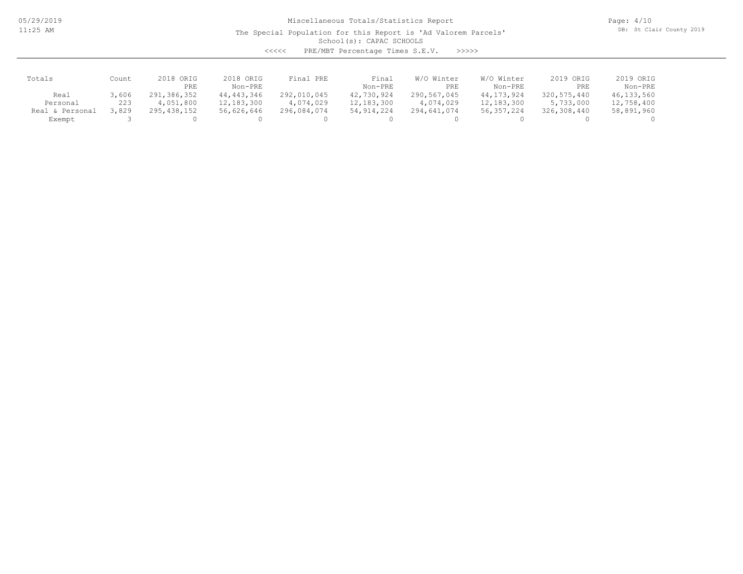05/29/2019 11:25 AM

## Miscellaneous Totals/Statistics Report

The Special Population for this Report is 'Ad Valorem Parcels'

Page: 4/10 DB: St Clair County 2019

School(s): CAPAC SCHOOLS

| くくくくく | PRE/MBT Percentage Times S.E.V. |  |  | >>>>> |
|-------|---------------------------------|--|--|-------|
|-------|---------------------------------|--|--|-------|

| Totals             | Count | 2018 ORIG   | 2018 ORIG    | PRE<br>Final | Final        | W/O Winter  | W/O Winter   | 2019 ORIG   | 2019 ORIG  |
|--------------------|-------|-------------|--------------|--------------|--------------|-------------|--------------|-------------|------------|
|                    |       | PRE         | Non-PRE      |              | Non-PRE      | PRE         | Non-PRE      | PRE         | Non-PRE    |
| Real               | 3,606 | 291,386,352 | 44, 443, 346 | 292,010,045  | 42,730,924   | 290,567,045 | 44, 173, 924 | 320,575,440 | 46,133,560 |
| Personal           | 223   | 4,051,800   | 12, 183, 300 | 4,074,029    | 12,183,300   | 4,074,029   | 12,183,300   | 5,733,000   | 12,758,400 |
| Personal<br>Real & | 8,829 | 295,438,152 | 56,626,646   | 296,084,074  | 54, 914, 224 | 294,641,074 | 56, 357, 224 | 326,308,440 | 58,891,960 |
| Exempt             |       |             |              |              |              |             |              |             |            |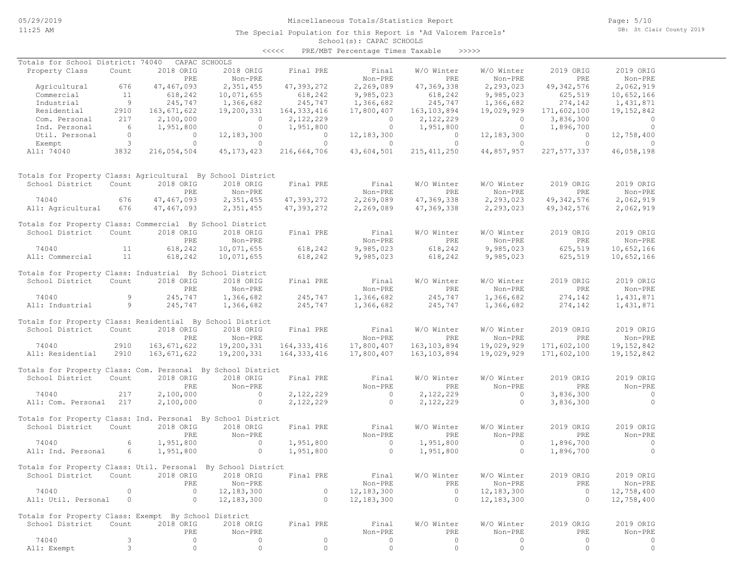## Miscellaneous Totals/Statistics Report

The Special Population for this Report is 'Ad Valorem Parcels'

Page: 5/10 DB: St Clair County 2019

#### School(s): CAPAC SCHOOLS <<<<< PRE/MBT Percentage Times Taxable >>>>>

| Totals for School District: 74040                            |                            |                | CAPAC SCHOOLS       |                |                |                |                |                |                |
|--------------------------------------------------------------|----------------------------|----------------|---------------------|----------------|----------------|----------------|----------------|----------------|----------------|
| Property Class                                               | Count                      | 2018 ORIG      | 2018 ORIG           | Final PRE      | Final          | W/O Winter     | W/O Winter     | 2019 ORIG      | 2019 ORIG      |
|                                                              |                            | PRE            | Non-PRE             |                | Non-PRE        | PRE            | Non-PRE        | PRE            | Non-PRE        |
| Agricultural                                                 | 676                        | 47,467,093     | 2,351,455           | 47,393,272     | 2,269,089      | 47,369,338     | 2,293,023      | 49, 342, 576   | 2,062,919      |
| Commercial                                                   | 11                         | 618,242        | 10,071,655          | 618,242        | 9,985,023      | 618,242        | 9,985,023      | 625, 519       | 10,652,166     |
| Industrial                                                   | $\overline{9}$             | 245,747        | 1,366,682           | 245,747        | 1,366,682      | 245,747        | 1,366,682      | 274,142        | 1,431,871      |
| Residential                                                  | 2910                       | 163,671,622    | 19,200,331          | 164, 333, 416  | 17,800,407     | 163, 103, 894  | 19,029,929     | 171,602,100    | 19, 152, 842   |
| Com. Personal                                                | 217                        | 2,100,000      | $\overline{0}$      | 2,122,229      | $\overline{0}$ | 2,122,229      | $\overline{0}$ | 3,836,300      | $\sim$ 0       |
| Ind. Personal                                                | 6                          | 1,951,800      | $\circ$             | 1,951,800      | $\overline{0}$ | 1,951,800      | $\overline{0}$ | 1,896,700      | $\overline{0}$ |
| Util. Personal                                               | $\circ$                    | $\overline{0}$ | 12,183,300          | $\overline{0}$ | 12, 183, 300   | $\overline{0}$ | 12, 183, 300   | $\overline{0}$ | 12,758,400     |
| Exempt                                                       | $\overline{\phantom{a}}$ 3 | $\circ$        | $\circ$             | $\circ$        | $\circ$        | $\Omega$       | $\circ$        | $\Omega$       | $\Omega$       |
| All: 74040                                                   | 3832                       | 216,054,504    | 45, 173, 423        | 216,664,706    | 43,604,501     | 215, 411, 250  | 44,857,957     | 227,577,337    | 46,058,198     |
| Totals for Property Class: Agricultural By School District   |                            |                |                     |                |                |                |                |                |                |
| School District                                              | Count                      | 2018 ORIG      | 2018 ORIG           | Final PRE      | Final          | W/O Winter     | W/O Winter     | 2019 ORIG      | 2019 ORIG      |
|                                                              |                            | PRE            | Non-PRE             |                | Non-PRE        | PRE            | Non-PRE        | PRE            | Non-PRE        |
| 74040                                                        | 676                        | 47,467,093     | 2,351,455           | 47,393,272     | 2,269,089      | 47,369,338     | 2,293,023      | 49, 342, 576   | 2,062,919      |
| All: Agricultural 676                                        |                            | 47,467,093     | 2,351,455           | 47,393,272     | 2,269,089      | 47,369,338     | 2,293,023      | 49, 342, 576   | 2,062,919      |
| Totals for Property Class: Commercial By School District     |                            |                |                     |                |                |                |                |                |                |
| School District                                              | Count                      | 2018 ORIG      | 2018 ORIG           | Final PRE      | Final          | W/O Winter     | W/O Winter     | 2019 ORIG      | 2019 ORIG      |
|                                                              |                            | PRE            | Non-PRE             |                | Non-PRE        | PRE            | Non-PRE        | PRE            | Non-PRE        |
| 74040                                                        | 11                         | 618,242        | 10,071,655          | 618,242        | 9,985,023      | 618,242        | 9,985,023      | 625,519        | 10,652,166     |
| All: Commercial                                              | 11                         | 618,242        | 10,071,655          | 618,242        | 9,985,023      | 618,242        | 9,985,023      | 625,519        | 10,652,166     |
| Totals for Property Class: Industrial By School District     |                            |                |                     |                |                |                |                |                |                |
| School District                                              | Count                      | 2018 ORIG      | 2018 ORIG           | Final PRE      | Final          | W/O Winter     | W/O Winter     | 2019 ORIG      | 2019 ORIG      |
|                                                              |                            | PRE            | Non-PRE             |                | Non-PRE        | PRE            | Non-PRE        | PRE            | Non-PRE        |
| 74040                                                        | 9                          | 245,747        | 1,366,682           | 245, 747       | 1,366,682      | 245,747        | 1,366,682      | 274,142        | 1,431,871      |
| All: Industrial                                              | 9                          | 245,747        | 1,366,682           | 245,747        | 1,366,682      | 245,747        | 1,366,682      | 274,142        | 1,431,871      |
| Totals for Property Class: Residential By School District    |                            |                |                     |                |                |                |                |                |                |
| School District                                              | Count                      | 2018 ORIG      | 2018 ORIG           | Final PRE      | Final          | W/O Winter     | W/O Winter     | 2019 ORIG      | 2019 ORIG      |
|                                                              |                            | PRE            | Non-PRE             |                | Non-PRE        | PRE            | Non-PRE        | PRE            | Non-PRE        |
| 74040                                                        | 2910                       | 163,671,622    | 19,200,331          | 164, 333, 416  | 17,800,407     | 163, 103, 894  | 19,029,929     | 171,602,100    | 19, 152, 842   |
| All: Residential                                             | 2910                       | 163,671,622    | 19,200,331          | 164, 333, 416  | 17,800,407     | 163, 103, 894  | 19,029,929     | 171,602,100    | 19, 152, 842   |
| Totals for Property Class: Com. Personal By School District  |                            |                |                     |                |                |                |                |                |                |
| School District                                              | Count                      | 2018 ORIG      | 2018 ORIG           | Final PRE      | Final          | W/O Winter     | W/O Winter     | 2019 ORIG      | 2019 ORIG      |
|                                                              |                            | PRE            | Non-PRE             |                | Non-PRE        | <b>PRE</b>     | Non-PRE        | PRE            | Non-PRE        |
| 74040                                                        | 217                        | 2,100,000      | $\sim$ 0            | 2,122,229      | $\sim$ 0       | 2,122,229      | $\sim$ 0       | 3,836,300      | $\sim$ 0       |
| All: Com. Personal 217                                       |                            | 2,100,000      | $\circ$             | 2,122,229      | $\sim$ 0       | 2,122,229      | $\circ$        | 3,836,300      | $\overline{0}$ |
| Totals for Property Class: Ind. Personal By School District  |                            |                |                     |                |                |                |                |                |                |
| School District                                              | Count                      | 2018 ORIG      | 2018 ORIG           | Final PRE      | Final          | W/O Winter     | W/O Winter     | 2019 ORIG      | 2019 ORIG      |
|                                                              |                            | PRE            | Non-PRE             |                | Non-PRE        | PRE            | Non-PRE        | PRE            | Non-PRE        |
| 74040                                                        | 6                          | 1,951,800      | $\overline{0}$      | 1,951,800      | $\sim$ 0       | 1,951,800      | $\circ$        | 1,896,700      | $\sim$ 0       |
| All: Ind. Personal                                           | 6                          | 1,951,800      | $\circ$             | 1,951,800      | $\bigcirc$     | 1,951,800      | $\Omega$       | 1,896,700      | $\Omega$       |
|                                                              |                            |                |                     |                |                |                |                |                |                |
| Totals for Property Class: Util. Personal By School District |                            |                |                     |                |                |                |                |                |                |
| School District                                              | Count                      |                | 2018 ORIG 2018 ORIG | Final PRE      | Final          | W/O Winter     | W/O Winter     | 2019 ORIG      | 2019 ORIG      |
|                                                              |                            | PRE            | Non-PRE             |                | Non-PRE        | PRE            | Non-PRE        | PRE            | Non-PRE        |
| 74040                                                        | $\circ$                    | $\circ$        | 12, 183, 300        | $\circ$        | 12, 183, 300   | $\circ$        | 12, 183, 300   | $\circ$        | 12,758,400     |
| All: Util. Personal                                          | $\circ$                    | $\circ$        | 12, 183, 300        | $\circ$        | 12,183,300     | $\circ$        | 12,183,300     | $\circ$        | 12,758,400     |
| Totals for Property Class: Exempt By School District         |                            |                |                     |                |                |                |                |                |                |
| School District                                              | Count                      | 2018 ORIG      | 2018 ORIG           | Final PRE      | Final          | W/O Winter     | W/O Winter     | 2019 ORIG      | 2019 ORIG      |
|                                                              |                            | PRE            | Non-PRE             |                | Non-PRE        | PRE            | Non-PRE        | PRE            | Non-PRE        |
| 74040                                                        | 3                          | 0              | 0                   | $\circ$        | 0              | 0              | 0              | 0              | 0              |
| All: Exempt                                                  | 3                          | $\circ$        | $\circ$             | $\circ$        | $\circ$        | $\circ$        | $\circ$        | $\circ$        | $\circ$        |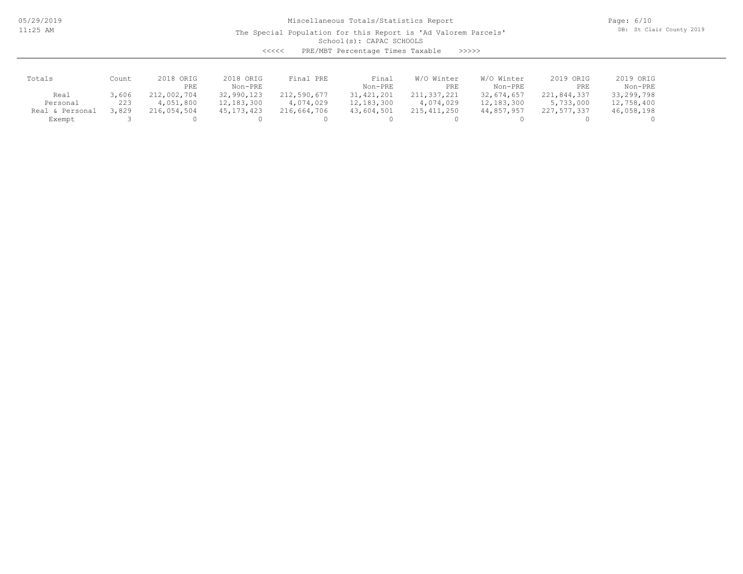05/29/2019 11:25 AM

## Miscellaneous Totals/Statistics Report

The Special Population for this Report is 'Ad Valorem Parcels'

Page: 6/10 DB: St Clair County 2019

School(s): CAPAC SCHOOLS

<<<<< PRE/MBT Percentage Times Taxable >>>>>

| Totals               | Count | 2018 ORIG<br>PRE | 2018 ORIG<br>Non-PRE | Final PRE   | Final<br>Non-PRE | W/O Winter<br>PRE | W/O Winter<br>Non-PRE | 2019 ORIG<br>PRE | 2019 ORIG<br>Non-PRE |
|----------------------|-------|------------------|----------------------|-------------|------------------|-------------------|-----------------------|------------------|----------------------|
| Real                 | 3,606 | 212,002,704      | 32,990,123           | 212,590,677 | 31, 421, 201     | 211,337,221       | 32,674,657            | 221,844,337      | 33,299,798           |
| Personal             | 223   | 4,051,800        | 12, 183, 300         | 4,074,029   | 12, 183, 300     | 4,074,029         | 12,183,300            | 5,733,000        | 12,758,400           |
| . & Personal<br>Real | ,829  | 216,054,504      | 45, 173, 423         | 216,664,706 | 43,604,501       | 215, 411, 250     | 44,857,957            | 227,577,337      | 46,058,198           |
| Exempt               |       |                  |                      |             |                  |                   |                       |                  |                      |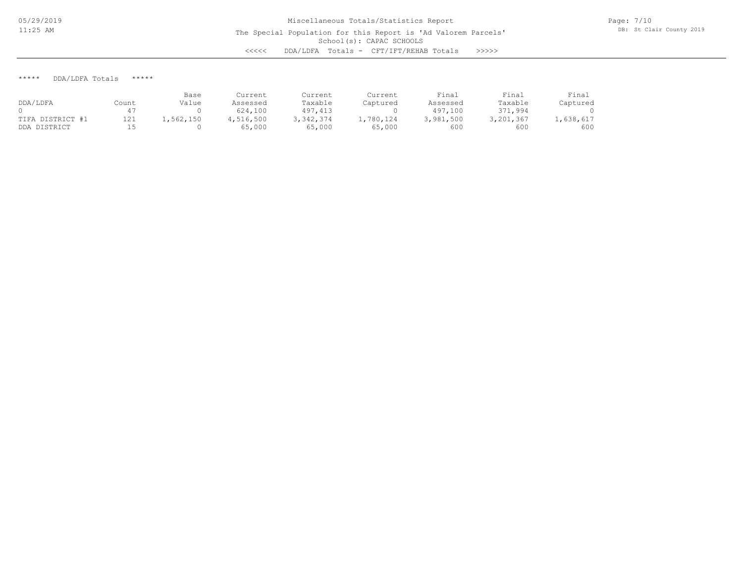#### \*\*\*\*\* DDA/LDFA Totals \*\*\*\*\*

|                  |       | Base      | Current   | Current   | Current   | Final     | Final     | Final     |
|------------------|-------|-----------|-----------|-----------|-----------|-----------|-----------|-----------|
| DDA/LDFA         | Count | Value     | Assessed  | Taxable   | Captured  | Assessed  | Taxable   | Captured  |
|                  |       |           | 624,100   | 497,413   |           | 497,100   | 371,994   |           |
| TIFA DISTRICT #1 | 121   | .,562,150 | 4,516,500 | 3,342,374 | 1,780,124 | 3,981,500 | 3,201,367 | .,638,617 |
| DISTRICT<br>DDA  |       |           | 65,000    | 65,000    | 65,000    | 600       | 600       | 600       |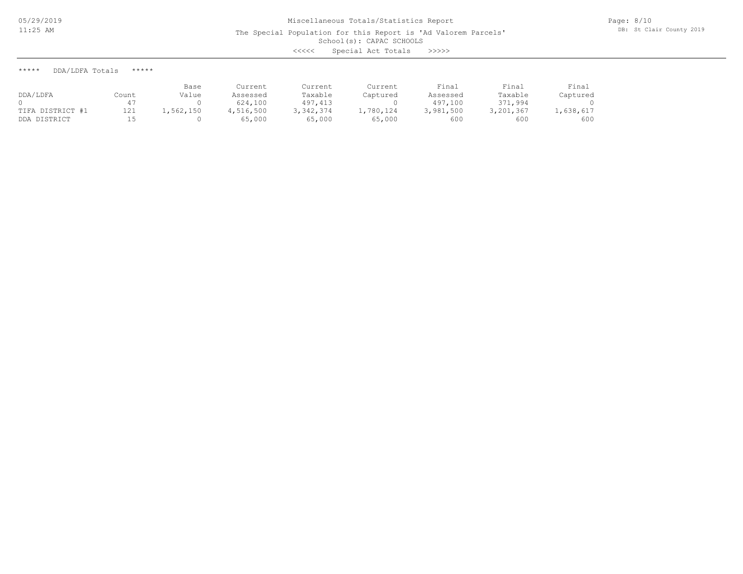The Special Population for this Report is 'Ad Valorem Parcels'

School(s): CAPAC SCHOOLS

<<<<< Special Act Totals >>>>>

\*\*\*\*\* DDA/LDFA Totals \*\*\*\*\*

| DDA/LDFA         | Count | Base<br>Value | Current<br>Assessed | Current<br>Taxable | Current<br>Captured | Final<br>Assessed | Final<br>Taxable | Final<br>Captured |
|------------------|-------|---------------|---------------------|--------------------|---------------------|-------------------|------------------|-------------------|
|                  |       |               | 624,100             | 497, 413           |                     | 497,100           | 371,994          |                   |
| TIFA DISTRICT #1 | 121   | 1,562,150     | 4,516,500           | 3,342,374          | 1,780,124           | 3,981,500         | 3,201,367        | .,638,617         |
| DDA DISTRICT     |       |               | 65,000              | 65,000             | 65,000              | 600               | 600              | 600               |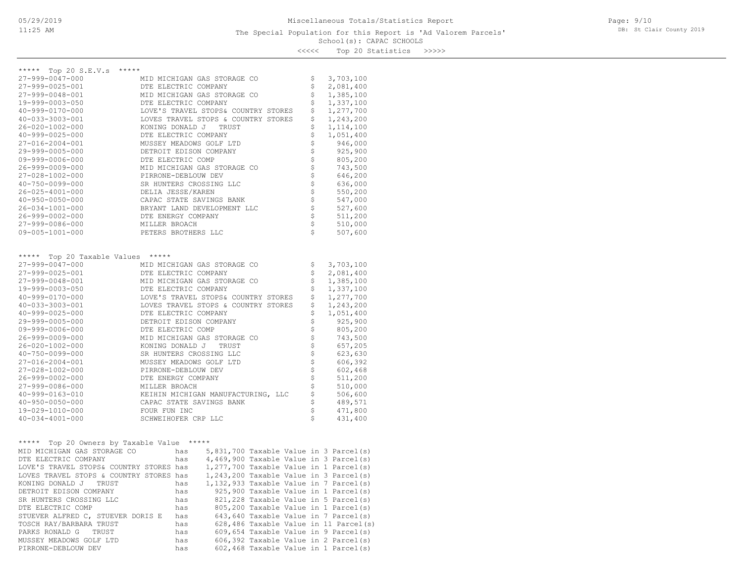### School(s): CAPAC SCHOOLS The Special Population for this Report is 'Ad Valorem Parcels'

Page: 9/10 DB: St Clair County 2019

<<<<< Top 20 Statistics >>>>>

| *****                                   |                      |     |                                     |  |                    |                                               |
|-----------------------------------------|----------------------|-----|-------------------------------------|--|--------------------|-----------------------------------------------|
| ***** Top 20 S.E.V.s                    |                      |     |                                     |  |                    |                                               |
| 27-999-0047-000                         |                      |     | MID MICHIGAN GAS STORAGE CO         |  | \$                 | 3,703,100                                     |
| 27-999-0025-001                         |                      |     | DTE ELECTRIC COMPANY                |  | \$                 | 2,081,400                                     |
| 27-999-0048-001                         |                      |     | MID MICHIGAN GAS STORAGE CO         |  | \$                 | 1,385,100                                     |
| 19-999-0003-050                         |                      |     | DTE ELECTRIC COMPANY                |  | \$                 | 1,337,100                                     |
| $40 - 999 - 0170 - 000$                 |                      |     | LOVE'S TRAVEL STOPS& COUNTRY STORES |  | \$                 | 1,277,700                                     |
| 40-033-3003-001                         |                      |     | LOVES TRAVEL STOPS & COUNTRY STORES |  | \$                 | 1,243,200                                     |
| 26-020-1002-000                         |                      |     | KONING DONALD J TRUST               |  | \$                 | 1,114,100                                     |
| $40 - 999 - 0025 - 000$                 | DTE ELECTRIC COMPANY |     |                                     |  |                    | 1,051,400                                     |
| 27-016-2004-001                         |                      |     | MUSSEY MEADOWS GOLF LTD             |  |                    | 946,000                                       |
| 29-999-0005-000                         |                      |     | DETROIT EDISON COMPANY              |  | なさ                 | 925,900                                       |
| $09 - 999 - 0006 - 000$                 | DTE ELECTRIC COMP    |     |                                     |  |                    | 805,200                                       |
| 26-999-0009-000                         |                      |     | MID MICHIGAN GAS STORAGE CO         |  | \$\$\$\$\$\$\$\$\$ | 743,500                                       |
| 27-028-1002-000                         | PIRRONE-DEBLOUW DEV  |     |                                     |  |                    | 646,200                                       |
| $40 - 750 - 0099 - 000$                 |                      |     | SR HUNTERS CROSSING LLC             |  |                    | 636,000                                       |
| 26-025-4001-000                         | DELIA JESSE/KAREN    |     |                                     |  |                    | 550,200                                       |
| $40 - 950 - 0050 - 000$                 |                      |     | CAPAC STATE SAVINGS BANK            |  |                    | 547,000                                       |
| 26-034-1001-000                         |                      |     | BRYANT LAND DEVELOPMENT LLC         |  |                    | 527,600                                       |
| 26-999-0002-000                         | DTE ENERGY COMPANY   |     |                                     |  | \$                 | 511,200                                       |
| 27-999-0086-000                         | MILLER BROACH        |     |                                     |  | \$                 | 510,000                                       |
| $09 - 005 - 1001 - 000$                 | PETERS BROTHERS LLC  |     |                                     |  | Ś                  | 507,600                                       |
|                                         |                      |     |                                     |  |                    |                                               |
| ***** Top 20 Taxable Values *****       |                      |     |                                     |  |                    |                                               |
| 27-999-0047-000                         |                      |     | MID MICHIGAN GAS STORAGE CO         |  | \$                 | 3,703,100                                     |
| 27-999-0025-001                         |                      |     | DTE ELECTRIC COMPANY                |  | \$                 | 2,081,400                                     |
| 27-999-0048-001                         |                      |     | MID MICHIGAN GAS STORAGE CO         |  | \$                 | 1,385,100                                     |
| 19-999-0003-050                         |                      |     | DTE ELECTRIC COMPANY                |  | \$                 | 1,337,100                                     |
| 40-999-0170-000                         |                      |     | LOVE'S TRAVEL STOPS& COUNTRY STORES |  | \$                 | 1,277,700                                     |
| 40-033-3003-001                         |                      |     | LOVES TRAVEL STOPS & COUNTRY STORES |  | \$                 | 1,243,200                                     |
| $40 - 999 - 0025 - 000$                 | DTE ELECTRIC COMPANY |     |                                     |  | \$                 | 1,051,400                                     |
| 29-999-0005-000                         |                      |     | DETROIT EDISON COMPANY              |  |                    | 925,900                                       |
| 09-999-0006-000                         | DTE ELECTRIC COMP    |     |                                     |  | \$\$\$\$\$\$\$\$   | 805,200                                       |
| 26-999-0009-000                         |                      |     | MID MICHIGAN GAS STORAGE CO         |  |                    | 743,500                                       |
| 26-020-1002-000                         |                      |     | KONING DONALD J TRUST               |  |                    | 657,205                                       |
| 40-750-0099-000                         |                      |     | SR HUNTERS CROSSING LLC             |  |                    | 623,630                                       |
| 27-016-2004-001                         |                      |     | MUSSEY MEADOWS GOLF LTD             |  |                    | 606,392                                       |
| 27-028-1002-000                         | PIRRONE-DEBLOUW DEV  |     |                                     |  |                    | 602,468                                       |
| 26-999-0002-000                         | DTE ENERGY COMPANY   |     |                                     |  | $\frac{5}{2}$      | 511,200                                       |
| 27-999-0086-000                         | MILLER BROACH        |     |                                     |  | \$                 | 510,000                                       |
| 40-999-0163-010                         |                      |     | KEIHIN MICHIGAN MANUFACTURING, LLC  |  | \$                 | 506,600                                       |
| $40 - 950 - 0050 - 000$                 |                      |     | CAPAC STATE SAVINGS BANK            |  | \$                 | 489,571                                       |
| 19-029-1010-000                         | FOUR FUN INC         |     |                                     |  | \$                 | 471,800                                       |
| $40 - 034 - 4001 - 000$                 | SCHWEIHOFER CRP LLC  |     |                                     |  | Ś                  | 431,400                                       |
|                                         |                      |     |                                     |  |                    |                                               |
| $***$ * * * *                           |                      |     |                                     |  |                    |                                               |
| Top 20 Owners by Taxable Value *****    |                      |     |                                     |  |                    |                                               |
| MID MICHIGAN GAS STORAGE CO             |                      | has |                                     |  |                    | 5,831,700 Taxable Value in 3 Parcel(s)        |
| DTE ELECTRIC COMPANY                    |                      |     |                                     |  |                    | has $4,469,900$ Taxable Value in 3 Parcel (s) |
| LOVE'S TRAVEL STOPS& COUNTRY STORES has |                      |     |                                     |  |                    | $1,277,700$ Taxable Value in 1 Parcel(s)      |
| LOVES TRAVEL STOPS & COUNTRY STORES has |                      |     |                                     |  |                    | 1,243,200 Taxable Value in 3 Parcel(s)        |
| KONING DONALD J<br>TRUST                |                      | has |                                     |  |                    | 1,132,933 Taxable Value in 7 Parcel(s)        |
| DETROIT EDISON COMPANY                  |                      | has |                                     |  |                    | 925,900 Taxable Value in 1 Parcel(s)          |
| SR HUNTERS CROSSING LLC                 |                      | has |                                     |  |                    | 821, 228 Taxable Value in 5 Parcel(s)         |
| DTE ELECTRIC COMP                       |                      | has |                                     |  |                    | 805,200 Taxable Value in 1 Parcel(s)          |
| STUEVER ALFRED C, STUEVER DORIS E       |                      | has |                                     |  |                    | 643,640 Taxable Value in 7 Parcel(s)          |
| TOSCH RAY/BARBARA TRUST                 |                      | has |                                     |  |                    | 628,486 Taxable Value in 11 Parcel(s)         |
| PARKS RONALD G<br>TRUST                 |                      | has |                                     |  |                    | 609,654 Taxable Value in 9 Parcel(s)          |
| MUSSEY MEADOWS GOLF LTD                 |                      | has |                                     |  |                    | 606,392 Taxable Value in 2 Parcel(s)          |
| PIRRONE-DEBLOUW DEV                     |                      | has |                                     |  |                    | 602,468 Taxable Value in 1 Parcel(s)          |